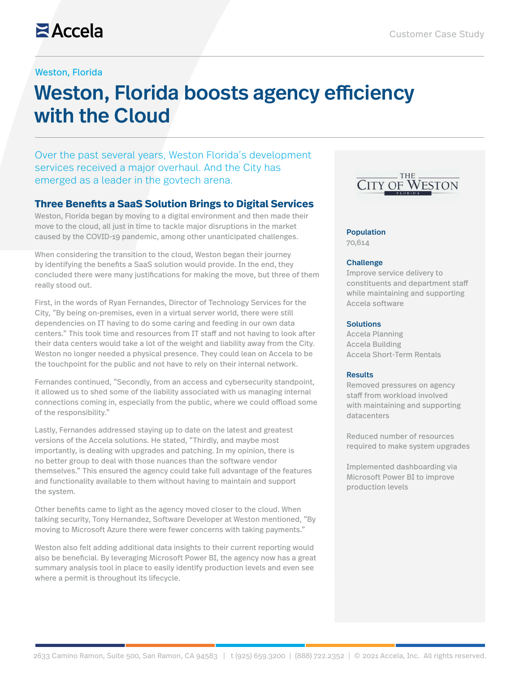## Weston, Florida

# Weston, Florida boosts agency efficiency with the Cloud

Over the past several years, Weston Florida's development services received a major overhaul. And the City has emerged as a leader in the govtech arena.

# **Three Benefits a SaaS Solution Brings to Digital Services**

Weston, Florida began by moving to a digital environment and then made their move to the cloud, all just in time to tackle major disruptions in the market caused by the COVID-19 pandemic, among other unanticipated challenges.

When considering the transition to the cloud, Weston began their journey by identifying the benefits a SaaS solution would provide. In the end, they concluded there were many justifications for making the move, but three of them really stood out.

First, in the words of Ryan Fernandes, Director of Technology Services for the City, "By being on-premises, even in a virtual server world, there were still dependencies on IT having to do some caring and feeding in our own data centers." This took time and resources from IT staff and not having to look after their data centers would take a lot of the weight and liability away from the City. Weston no longer needed a physical presence. They could lean on Accela to be the touchpoint for the public and not have to rely on their internal network.

Fernandes continued, "Secondly, from an access and cybersecurity standpoint, it allowed us to shed some of the liability associated with us managing internal connections coming in, especially from the public, where we could offload some of the responsibility."

Lastly, Fernandes addressed staying up to date on the latest and greatest versions of the Accela solutions. He stated, "Thirdly, and maybe most importantly, is dealing with upgrades and patching. In my opinion, there is no better group to deal with those nuances than the software vendor themselves." This ensured the agency could take full advantage of the features and functionality available to them without having to maintain and support the system.

Other benefits came to light as the agency moved closer to the cloud. When talking security, Tony Hernandez, Software Developer at Weston mentioned, "By moving to Microsoft Azure there were fewer concerns with taking payments."

Weston also felt adding additional data insights to their current reporting would also be beneficial. By leveraging Microsoft Power BI, the agency now has a great summary analysis tool in place to easily identify production levels and even see where a permit is throughout its lifecycle.



#### Population

70,614

#### **Challenge**

Improve service delivery to constituents and department staff while maintaining and supporting Accela software

#### **Solutions**

Accela Planning Accela Building Accela Short-Term Rentals

#### Results

Removed pressures on agency staff from workload involved with maintaining and supporting datacenters

Reduced number of resources required to make system upgrades

Implemented dashboarding via Microsoft Power BI to improve production levels